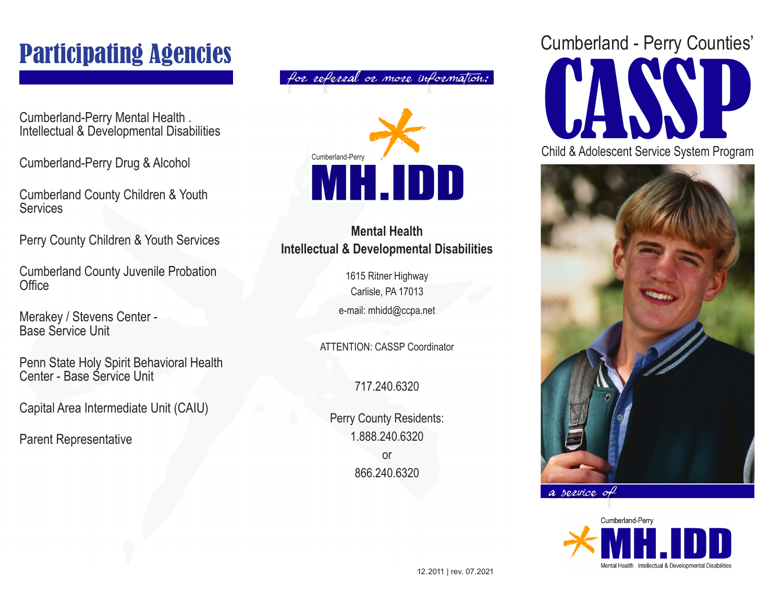# Participating Agencies

Cumberland-Perry Mental Health . Intellectual & Developmental Disabilities

Cumberland-Perry Drug & Alcohol

Cumberland County Children & Youth **Services** 

Perry County Children & Youth Services

Cumberland County Juvenile Probation **Office** 

Merakey / Stevens Center - Base Service Unit

Penn State Holy Spirit Behavioral Health Center - Base Service Unit

Capital Area Intermediate Unit (CAIU)

Parent Representative

for referral or more information:



#### **Mental Health Intellectual & Developmental Disabilities**

1615 Ritner Highway Carlisle, PA 17013 e-mail: mhidd@ccpa.net

ATTENTION: CASSP Coordinator

717.240.6320

Perry County Residents: 1.888.240.6320 or 866.240.6320





a service of